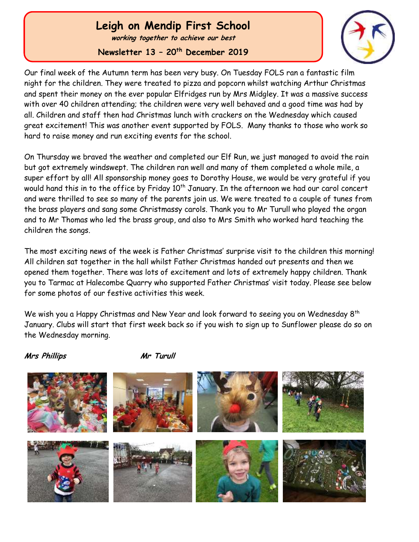# **Leigh on Mendip First School**

**working together to achieve our best**

**Newsletter 13 – 20th December 2019**



Our final week of the Autumn term has been very busy. On Tuesday FOLS ran a fantastic film night for the children. They were treated to pizza and popcorn whilst watching Arthur Christmas and spent their money on the ever popular Elfridges run by Mrs Midgley. It was a massive success with over 40 children attending; the children were very well behaved and a good time was had by all. Children and staff then had Christmas lunch with crackers on the Wednesday which caused great excitement! This was another event supported by FOLS. Many thanks to those who work so hard to raise money and run exciting events for the school.

On Thursday we braved the weather and completed our Elf Run, we just managed to avoid the rain but got extremely windswept. The children ran well and many of them completed a whole mile, a super effort by all! All sponsorship money goes to Dorothy House, we would be very grateful if you would hand this in to the office by Friday  $10<sup>th</sup>$  January. In the afternoon we had our carol concert and were thrilled to see so many of the parents join us. We were treated to a couple of tunes from the brass players and sang some Christmassy carols. Thank you to Mr Turull who played the organ and to Mr Thomas who led the brass group, and also to Mrs Smith who worked hard teaching the children the songs.

The most exciting news of the week is Father Christmas' surprise visit to the children this morning! All children sat together in the hall whilst Father Christmas handed out presents and then we opened them together. There was lots of excitement and lots of extremely happy children. Thank you to Tarmac at Halecombe Quarry who supported Father Christmas' visit today. Please see below for some photos of our festive activities this week.

We wish you a Happy Christmas and New Year and look forward to seeing you on Wednesday 8<sup>th</sup> January. Clubs will start that first week back so if you wish to sign up to Sunflower please do so on the Wednesday morning.

**Mrs Phillips Mr Turull**

 Ĭ